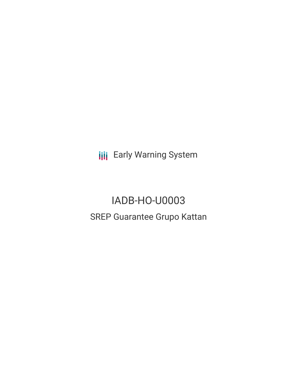**III** Early Warning System

# IADB-HO-U0003 SREP Guarantee Grupo Kattan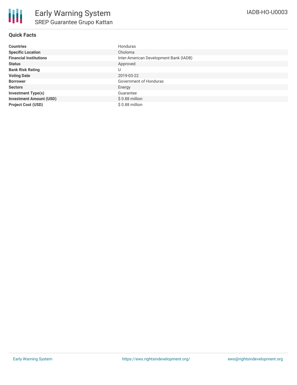## **Quick Facts**

| <b>Countries</b>               | Honduras                               |
|--------------------------------|----------------------------------------|
| <b>Specific Location</b>       | Choloma                                |
| <b>Financial Institutions</b>  | Inter-American Development Bank (IADB) |
| <b>Status</b>                  | Approved                               |
| <b>Bank Risk Rating</b>        | U                                      |
| <b>Voting Date</b>             | 2019-03-22                             |
| <b>Borrower</b>                | Government of Honduras                 |
| <b>Sectors</b>                 | Energy                                 |
| <b>Investment Type(s)</b>      | Guarantee                              |
| <b>Investment Amount (USD)</b> | $$0.88$ million                        |
| <b>Project Cost (USD)</b>      | $$0.88$ million                        |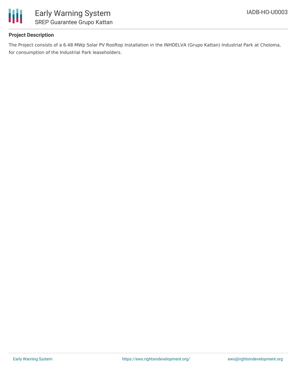

### **Project Description**

The Project consists of a 6.48 MWp Solar PV Rooftop Installation in the INHDELVA (Grupo Kattan) Industrial Park at Choloma, for consumption of the Industrial Park leaseholders.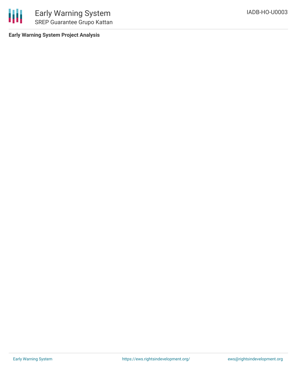

Early Warning System SREP Guarantee Grupo Kattan

**Early Warning System Project Analysis**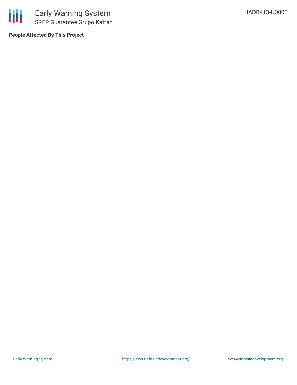

**People Affected By This Project**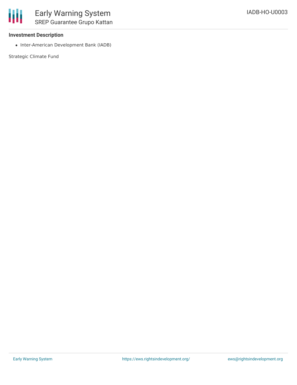#### **Investment Description**

• Inter-American Development Bank (IADB)

Strategic Climate Fund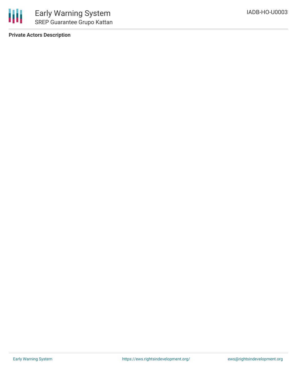

**Private Actors Description**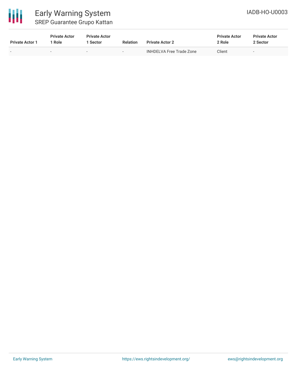

# Early Warning System SREP Guarantee Grupo Kattan

| <b>Private Actor 1</b>   | <b>Private Actor</b><br>1 Role | <b>Private Actor</b><br>l Sector | <b>Relation</b>          | <b>Private Actor 2</b>   | <b>Private Actor</b><br>2 Role | <b>Private Actor</b><br>2 Sector |
|--------------------------|--------------------------------|----------------------------------|--------------------------|--------------------------|--------------------------------|----------------------------------|
| $\overline{\phantom{0}}$ | $\sim$                         | $\overline{\phantom{0}}$         | $\overline{\phantom{a}}$ | INHDELVA Free Trade Zone | Client                         | $\overline{\phantom{0}}$         |